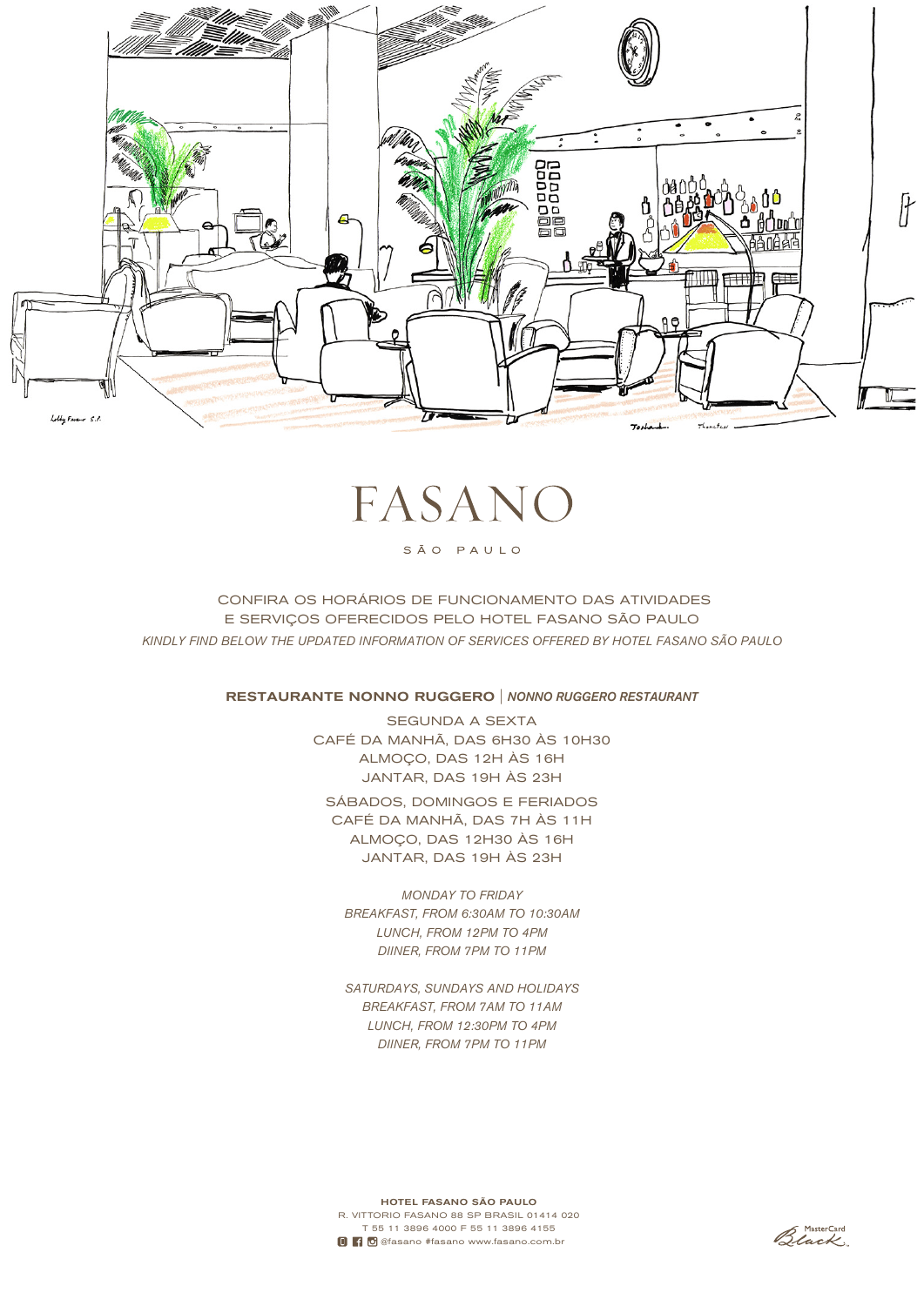

# FASANC

## SÃO PAULO

 CONFIRA OS HORÁRIOS DE FUNCIONAMENTO DAS ATIVIDADES E SERVIÇOS OFERECIDOS PELO HOTEL FASANO SÃO PAULO *KINDLY FIND BELOW THE UPDATED INFORMATION OF SERVICES OFFERED BY HOTEL FASANO SÃO PAULO*

RESTAURANTE NONNO RUGGERO | *NONNO RUGGERO RESTAURANT*

SEGUNDA A SEXTA CAFÉ DA MANHÃ, DAS 6H30 ÀS 10H30 ALMOÇO, DAS 12H ÀS 16H JANTAR, DAS 19H ÀS 23H

SÁBADOS, DOMINGOS E FERIADOS CAFÉ DA MANHÃ, DAS 7H ÀS 11H ALMOÇO, DAS 12H30 ÀS 16H JANTAR, DAS 19H ÀS 23H

*MONDAY TO FRIDAY BREAKFAST, FROM 6:30AM TO 10:30AM LUNCH, FROM 12PM TO 4PM DIINER, FROM 7PM TO 11PM*

*SATURDAYS, SUNDAYS AND HOLIDAYS BREAKFAST, FROM 7AM TO 11AM LUNCH, FROM 12:30PM TO 4PM DIINER, FROM 7PM TO 11PM*

HOTEL FASANO SÃO PAULO R. VITTORIO FASANO 88 SP BRASIL 01414 020 T 55 11 3896 4000 F 55 11 3896 4155 **D C** @fasano #fasano www.fasano.com.br